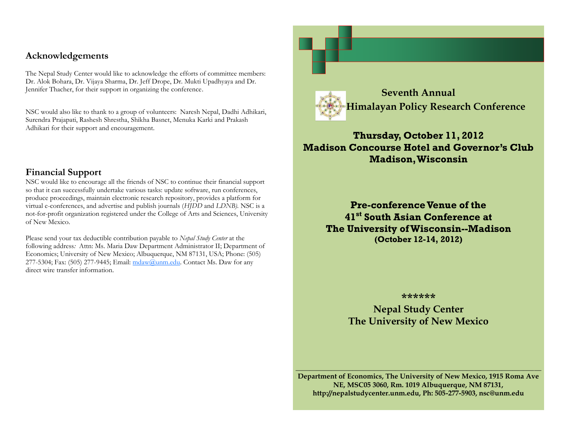## **Acknowledgements**

The Nepal Study Center would like to acknowledge the efforts of committee members: Dr. Alok Bohara, Dr. Vijaya Sharma, Dr. Jeff Drope, Dr. Mukti Upadhyaya and Dr. Jennifer Thacher, for their support in organizing the conference.

NSC would also like to thank to a group of volunteers: Naresh Nepal, Dadhi Adhikari, Surendra Prajapati, Rashesh Shrestha, Shikha Basnet, Menuka Karki and Prakash Adhikari for their support and encouragement.

## **Financial Support**

NSC would like to encourage all the friends of NSC to continue their financial support so that it can successfully undertake various tasks: update software, run conferences, produce proceedings, maintain electronic research repository, provides a platform for virtual e-conferences, and advertise and publish journals (*HJDD* and *LDNB).* NSC is a not-for-profit organization registered under the College of Arts and Sciences, University of New Mexico.

Please send your tax deductible contribution payable to *Nepal Study Center* at the following address*:* Attn: Ms. Maria Daw Department Administrator II; Department of Economics; University of New Mexico; Albuquerque, NM 87131, USA; Phone: (505) 277-5304; Fax: (505) 277-9445; Email:  $\frac{m \cdot a}{m \cdot a}$ unm.edu. Contact Ms. Daw for any direct wire transfer information.



# **Thursday, October 11, 2012 Madison Concourse Hotel and Governor's Club Madison, Wisconsin**

**Pre-conference Venue of the 41st South Asian Conference at The University of Wisconsin--Madison (October 12-14, 2012)**

#### **\*\*\*\*\*\***

**Nepal Study Center The University of New Mexico**

**Department of Economics, The University of New Mexico, 1915 Roma Ave NE, MSC05 3060, Rm. 1019 Albuquerque, NM 87131, http://nepalstudycenter.unm.edu, Ph: 505-277-5903, nsc@unm.edu** 

**\_\_\_\_\_\_\_\_\_\_\_\_\_\_\_\_\_\_\_\_\_\_\_\_\_\_\_\_\_\_\_\_\_\_\_\_\_\_\_\_\_\_\_\_\_\_\_\_\_\_\_\_\_\_\_\_\_\_\_\_\_\_\_\_\_\_\_\_\_**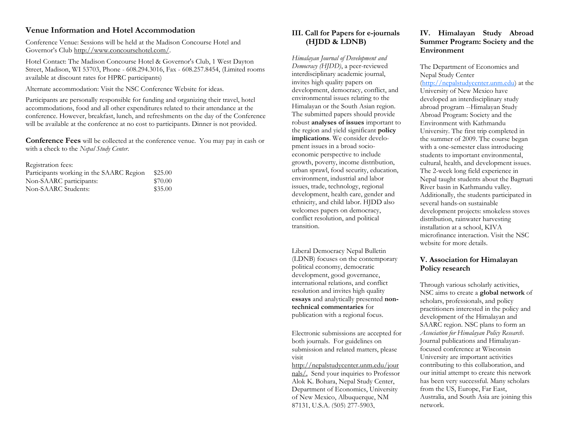#### **Venue Information and Hotel Accommodation**

Conference Venue: Sessions will be held at the Madison Concourse Hotel and Governor's Club [http://www.concoursehotel.com/.](http://www.concoursehotel.com/)

Hotel Contact: The Madison Concourse Hotel & Governor's Club, 1 West Dayton Street, Madison, WI 53703, Phone - 608.294.3016, Fax - 608.257.8454, (Limited rooms available at discount rates for HPRC participants)

Alternate accommodation: Visit the NSC Conference Website for ideas.

Participants are personally responsible for funding and organizing their travel, hotel accommodations, food and all other expenditures related to their attendance at the conference. However, breakfast, lunch, and refreshments on the day of the Conference will be available at the conference at no cost to participants. Dinner is not provided.

**Conference Fees** will be collected at the conference venue. You may pay in cash or with a check to the *Nepal Study Center*.

Registration fees: Participants working in the SAARC Region \$25.00 Non-SAARC participants: \$70.00 Non-SAARC Students: \$35.00

#### **III. Call for Papers for e-journals (HJDD & LDNB)**

*Himalayan Journal of Development and Democracy (HJDD)*, a peer-reviewed interdisciplinary academic journal, invites high quality papers on development, democracy, conflict, and environmental issues relating to the Himalayan or the South Asian region. The submitted papers should provide robust **analyses of issues** important to the region and yield significant **policy implications**. We consider development issues in a broad socioeconomic perspective to include growth, poverty, income distribution, urban sprawl, food security, education, environment, industrial and labor issues, trade, technology, regional development, health care, gender and ethnicity, and child labor. HJDD also welcomes papers on democracy, conflict resolution, and political transition.

Liberal Democracy Nepal Bulletin (LDNB) focuses on the contemporary political economy, democratic development, good governance, international relations, and conflict resolution and invites high quality **essays** and analytically presented **nontechnical commentaries** for publication with a regional focus.

Electronic submissions are accepted for both journals. For guidelines on submission and related matters, please visit

[http://nepalstudycenter.unm.edu/jour](http://nepalstudycenter.unm.edu/journals/) [nals/.](http://nepalstudycenter.unm.edu/journals/) Send your inquiries to Professor Alok K. Bohara, Nepal Study Center, Department of Economics, University of New Mexico, Albuquerque, NM 87131, U.S.A. (505) 277-5903,

#### **IV. Himalayan Study Abroad Summer Program: Society and the Environment**

The Department of Economics and Nepal Study Center [\(http://nepalstudycenter.unm.edu\)](http://nepalstudycenter.unm.edu/) at the University of New Mexico have developed an interdisciplinary study abroad program --Himalayan Study Abroad Program: Society and the Environment with Kathmandu University. The first trip completed in the summer of 2009. The course began with a one-semester class introducing students to important environmental, cultural, health, and development issues. The 2-week long field experience in Nepal taught students about the Bagmati River basin in Kathmandu valley. Additionally, the students participated in several hands-on sustainable development projects: smokeless stoves distribution, rainwater harvesting installation at a school, KIVA microfinance interaction. Visit the NSC website for more details.

#### **V. Association for Himalayan Policy research**

Through various scholarly activities, NSC aims to create a **global network** of scholars, professionals, and policy practitioners interested in the policy and development of the Himalayan and SAARC region. NSC plans to form an *Association for Himalayan Policy Research*. Journal publications and Himalayanfocused conference at Wisconsin University are important activities contributing to this collaboration, and our initial attempt to create this network has been very successful. Many scholars from the US, Europe, Far East, Australia, and South Asia are joining this network.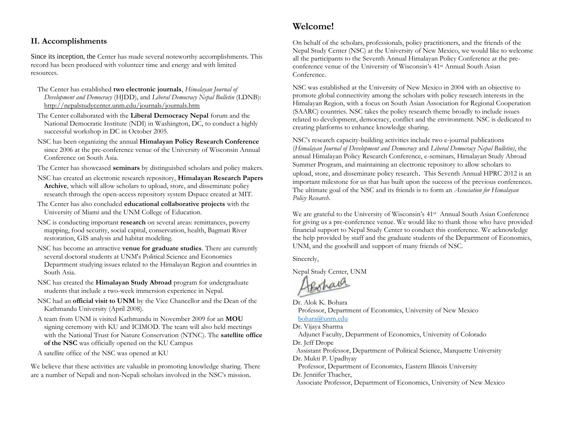#### **II. Accomplishments**

Since its inception, the Center has made several noteworthy accomplishments. This record has been produced with volunteer time and energy and with limited resources.

- The Center has established **two electronic journals**, *Himalayan Journal of Development and Democracy* (HJDD), and *Liberal Democracy Nepal Bulletin* (LDNB): <http://nepalstudycenter.unm.edu/journals/journals.htm>
- The Center collaborated with the **Liberal Democracy Nepal** forum and the National Democratic Institute (NDI) in Washington, DC, to conduct a highly successful workshop in DC in October 2005.
- NSC has been organizing the annual **Himalayan Policy Research Conference** since 2006 at the pre-conference venue of the University of Wisconsin Annual Conference on South Asia.
- The Center has showcased **seminars** by distinguished scholars and policy makers.
- NSC has created an electronic research repository, **Himalayan Research Papers Archive**, which will allow scholars to upload, store, and disseminate policy research through the open-access repository system Dspace created at MIT.
- The Center has also concluded **educational collaborative projects** with the University of Miami and the UNM College of Education.
- NSC is conducting important **research** on several areas: remittances, poverty mapping, food security, social capital, conservation, health, Bagmati River restoration, GIS analysis and habitat modeling.
- NSC has become an attractive **venue for graduate studies**. There are currently several doctoral students at UNM's Political Science and Economics Department studying issues related to the Himalayan Region and countries in South Asia.
- NSC has created the **Himalayan Study Abroad** program for undergraduate students that include a two-week immersion experience in Nepal.
- NSC had an **official visit to UNM** by the Vice Chancellor and the Dean of the Kathmandu University (April 2008).
- A team from UNM is visited Kathmandu in November 2009 for an **MOU**  signing ceremony with KU and ICIMOD. The team will also held meetings with the National Trust for Nature Conservation (NTNC). The **satellite office of the NSC** was officially opened on the KU Campus
- A satellite office of the NSC was opened at KU

We believe that these activities are valuable in promoting knowledge sharing. There are a number of Nepali and non-Nepali scholars involved in the NSC's mission.

## **Welcome!**

On behalf of the scholars, professionals, policy practitioners, and the friends of the Nepal Study Center (NSC) at the University of New Mexico, we would like to welcome all the participants to the Seventh Annual Himalayan Policy Conference at the preconference venue of the University of Wisconsin's 41st Annual South Asian Conference.

NSC was established at the University of New Mexico in 2004 with an objective to promote global connectivity among the scholars with policy research interests in the Himalayan Region, with a focus on South Asian Association for Regional Cooperation (SAARC) countries. NSC takes the policy research theme broadly to include issues related to development, democracy, conflict and the environment. NSC is dedicated to creating platforms to enhance knowledge sharing.

NSC's research capacity-building activities include two e-journal publications (*Himalayan Journal of Development and Democracy* and *Liberal Democracy Nepal Bulletin)*, the annual Himalayan Policy Research Conference, e-seminars, Himalayan Study Abroad Summer Program, and maintaining an electronic repository to allow scholars to upload, store, and disseminate policy research. This Seventh Annual HPRC 2012 is an important milestone for us that has built upon the success of the previous conferences. The ultimate goal of the NSC and its friends is to form an *Association for Himalayan Policy Research.*

We are grateful to the University of Wisconsin's 41<sup>st</sup> Annual South Asian Conference for giving us a pre-conference venue. We would like to thank those who have provided financial support to Nepal Study Center to conduct this conference. We acknowledge the help provided by staff and the graduate students of the Department of Economics, UNM, and the goodwill and support of many friends of NSC.

Sincerely,

Nepal Study Center, UNM

Dr. Alok K. Bohara

 Professor, Department of Economics, University of New Mexico [bohara@unm.edu](mailto:bohara@unm.edu)

Dr. Vijaya Sharma

 Adjunct Faculty, Department of Economics, University of Colorado Dr. Jeff Drope

 Assistant Professor, Department of Political Science, Marquette University Dr. Mukti P. Upadhyay

 Professor, Department of Economics, Eastern Illinois University Dr. Jennifer Thacher,

Associate Professor, Department of Economics, University of New Mexico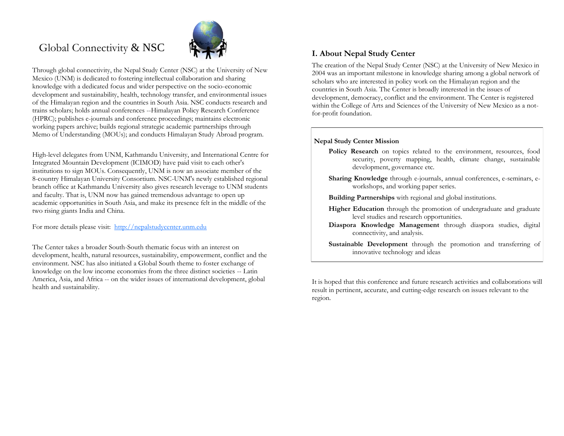# Global Connectivity & NSC



Through global connectivity, the Nepal Study Center (NSC) at the University of New Mexico (UNM) is dedicated to fostering intellectual collaboration and sharing knowledge with a dedicated focus and wider perspective on the socio-economic development and sustainability, health, technology transfer, and environmental issues of the Himalayan region and the countries in South Asia. NSC conducts research and trains scholars; holds annual conferences --Himalayan Policy Research Conference (HPRC); publishes e-journals and conference proceedings; maintains electronic working papers archive; builds regional strategic academic partnerships through Memo of Understanding (MOUs); and conducts Himalayan Study Abroad program.

High-level delegates from UNM, Kathmandu University, and International Centre for Integrated Mountain Development (ICIMOD) have paid visit to each other's institutions to sign MOUs. Consequently, UNM is now an associate member of the 8-country Himalayan University Consortium. NSC-UNM's newly established regional branch office at Kathmandu University also gives research leverage to UNM students and faculty. That is, UNM now has gained tremendous advantage to open up academic opportunities in South Asia, and make its presence felt in the middle of the two rising giants India and China.

For more details please visit: [http://nepalstudycenter.unm.edu](http://nepalstudycenter.unm.edu/)

The Center takes a broader South-South thematic focus with an interest on development, health, natural resources, sustainability, empowerment, conflict and the environment. NSC has also initiated a Global South theme to foster exchange of knowledge on the low income economies from the three distinct societies -- Latin America, Asia, and Africa -- on the wider issues of international development, global health and sustainability.

## **I. About Nepal Study Center**

The creation of the Nepal Study Center (NSC) at the University of New Mexico in 2004 was an important milestone in knowledge sharing among a global network of scholars who are interested in policy work on the Himalayan region and the countries in South Asia. The Center is broadly interested in the issues of development, democracy, conflict and the environment. The Center is registered within the College of Arts and Sciences of the University of New Mexico as a notfor-profit foundation.

#### **Nepal Study Center Mission**

- Policy Research on topics related to the environment, resources, food security, poverty mapping, health, climate change, sustainable development, governance etc.
- **Sharing Knowledge** through e-journals, annual conferences, e-seminars, eworkshops, and working paper series.
- **Building Partnerships** with regional and global institutions.
- **Higher Education** through the promotion of undergraduate and graduate level studies and research opportunities.
- **Diaspora Knowledge Management** through diaspora studies, digital connectivity, and analysis.
- **Sustainable Development** through the promotion and transferring of innovative technology and ideas

It is hoped that this conference and future research activities and collaborations will result in pertinent, accurate, and cutting-edge research on issues relevant to the region.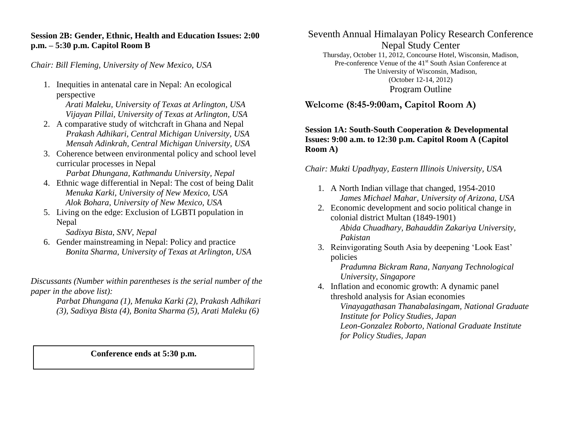## **Session 2B: Gender, Ethnic, Health and Education Issues: 2:00 p.m. – 5:30 p.m. Capitol Room B**

*Chair: Bill Fleming, University of New Mexico, USA*

1. Inequities in antenatal care in Nepal: An ecological perspective

*Arati Maleku, University of Texas at Arlington, USA Vijayan Pillai, University of Texas at Arlington, USA*

- 2. A comparative study of witchcraft in Ghana and Nepal *Prakash Adhikari, Central Michigan University, USA Mensah Adinkrah, Central Michigan University, USA*
- 3. Coherence between environmental policy and school level curricular processes in Nepal

*Parbat Dhungana, Kathmandu University, Nepal*

- 4. Ethnic wage differential in Nepal: The cost of being Dalit *Menuka Karki, University of New Mexico, USA Alok Bohara, University of New Mexico, USA*
- 5. Living on the edge: Exclusion of LGBTI population in Nepal

*Sadixya Bista, SNV, Nepal*

6. Gender mainstreaming in Nepal: Policy and practice *Bonita Sharma, University of Texas at Arlington, USA*

*Discussants (Number within parentheses is the serial number of the paper in the above list):* 

*Parbat Dhungana (1), Menuka Karki (2), Prakash Adhikari (3), Sadixya Bista (4), Bonita Sharma (5), Arati Maleku (6)*

**Conference ends at 5:30 p.m.**

Seventh Annual Himalayan Policy Research Conference Nepal Study Center

Thursday, October 11, 2012, Concourse Hotel, Wisconsin, Madison, Pre-conference Venue of the 41<sup>st</sup> South Asian Conference at The University of Wisconsin, Madison, (October 12-14, 2012) Program Outline

**Welcome (8:45-9:00am, Capitol Room A)**

## **Session 1A: South-South Cooperation & Developmental Issues: 9:00 a.m. to 12:30 p.m. Capitol Room A (Capitol Room A)**

*Chair: Mukti Upadhyay, Eastern Illinois University, USA*

- 1. A North Indian village that changed, 1954-2010 *James Michael Mahar, University of Arizona, USA*
- 2. Economic development and socio political change in colonial district Multan (1849-1901) *Abida Chuadhary, Bahauddin Zakariya University, Pakistan*
- 3. Reinvigorating South Asia by deepening 'Look East' policies

*Pradumna Bickram Rana, Nanyang Technological University, Singapore*

4. Inflation and economic growth: A dynamic panel threshold analysis for Asian economies *Vinayagathasan Thanabalasingam, National Graduate Institute for Policy Studies, Japan Leon-Gonzalez Roborto, National Graduate Institute for Policy Studies, Japan*